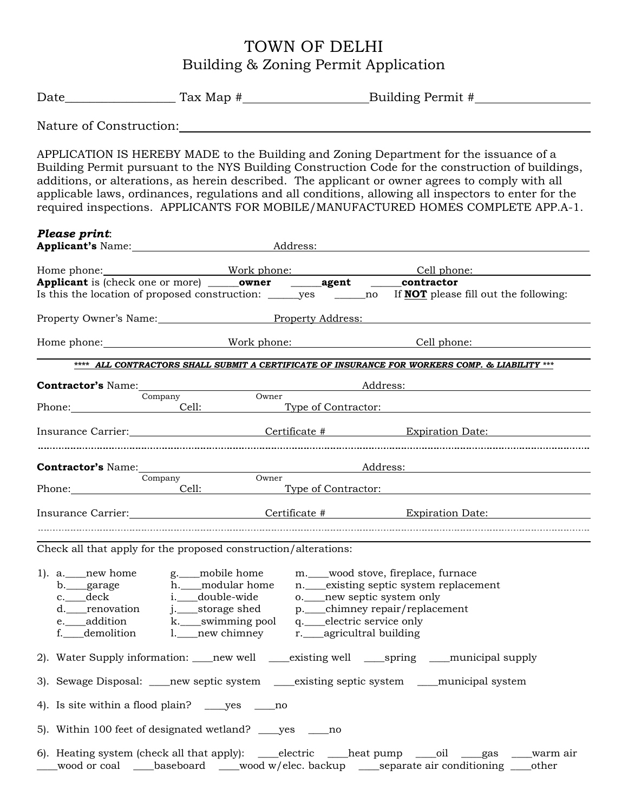## TOWN OF DELHI Building & Zoning Permit Application

| Date | Tax Map # | Building Permit # |
|------|-----------|-------------------|
|      |           |                   |

Nature of Construction:

Please print:

APPLICATION IS HEREBY MADE to the Building and Zoning Department for the issuance of a Building Permit pursuant to the NYS Building Construction Code for the construction of buildings, additions, or alterations, as herein described. The applicant or owner agrees to comply with all applicable laws, ordinances, regulations and all conditions, allowing all inspectors to enter for the required inspections. APPLICANTS FOR MOBILE/MANUFACTURED HOMES COMPLETE APP.A-1.

|                                                                                                                                                                                     | Applicant's Name: Address:                                                                                                      |                                                                                                                                                                                                                                                                                    |  |  |  |
|-------------------------------------------------------------------------------------------------------------------------------------------------------------------------------------|---------------------------------------------------------------------------------------------------------------------------------|------------------------------------------------------------------------------------------------------------------------------------------------------------------------------------------------------------------------------------------------------------------------------------|--|--|--|
| Applicant is (check one or more) ______owner ______agent ______contractor                                                                                                           |                                                                                                                                 |                                                                                                                                                                                                                                                                                    |  |  |  |
| Property Owner's Name: Property Address:                                                                                                                                            |                                                                                                                                 |                                                                                                                                                                                                                                                                                    |  |  |  |
|                                                                                                                                                                                     |                                                                                                                                 | Home phone: Nork phone: Cell phone: Cell phone:                                                                                                                                                                                                                                    |  |  |  |
|                                                                                                                                                                                     |                                                                                                                                 | **** ALL CONTRACTORS SHALL SUBMIT A CERTIFICATE OF INSURANCE FOR WORKERS COMP. & LIABILITY ***                                                                                                                                                                                     |  |  |  |
|                                                                                                                                                                                     |                                                                                                                                 | <b>Contractor's</b> Name: Company Owner Address:<br>Phone: Company Owner<br>Cell: Type of Contractor:<br>Insurance Carrier: Certificate # Expiration Date:                                                                                                                         |  |  |  |
|                                                                                                                                                                                     |                                                                                                                                 |                                                                                                                                                                                                                                                                                    |  |  |  |
| Company                                                                                                                                                                             | Owner                                                                                                                           | <b>Contractor's</b> Name: <u>Address:</u> Address: Address: Address: Address: Address: Address: Address: Address: Address: Address: Address: Address: Address: Address: Address: Address: Address: Address: Address: Address: Address: A<br>Phone: Cell: Cell: Type of Contractor: |  |  |  |
|                                                                                                                                                                                     |                                                                                                                                 | Insurance Carrier: Certificate # Expiration Date:                                                                                                                                                                                                                                  |  |  |  |
| Check all that apply for the proposed construction/alterations:<br>1). $a_{\cdot}$ new home<br>b. garage h. modular home<br>c. deck i. double-wide<br>d. renovation j. storage shed | g. mobile home<br>e. addition k. swimming pool q. electric service only<br>f. demolition 1. new chimney r. agricultral building | m.___wood stove, fireplace, furnace<br>n. ____ existing septic system replacement<br>o. html new septic system only<br>p. chimney repair/replacement                                                                                                                               |  |  |  |
|                                                                                                                                                                                     |                                                                                                                                 |                                                                                                                                                                                                                                                                                    |  |  |  |
| 4). Is site within a flood plain? ______ yes _______ no<br>5). Within 100 feet of designated wetland? ______ yes ______ no                                                          |                                                                                                                                 | 6). Heating system (check all that apply): _____electric ______heat pump _____oil ____gas _____warm air<br>wood or coal _____baseboard ____wood w/elec. backup _____separate air conditioning ____other                                                                            |  |  |  |